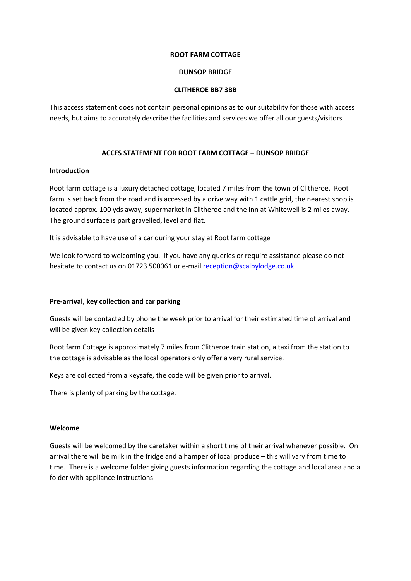#### **ROOT FARM COTTAGE**

## **DUNSOP BRIDGE**

## **CLITHEROE BB7 3BB**

This access statement does not contain personal opinions as to our suitability for those with access needs, but aims to accurately describe the facilities and services we offer all our guests/visitors

# **ACCES STATEMENT FOR ROOT FARM COTTAGE – DUNSOP BRIDGE**

## **Introduction**

Root farm cottage is a luxury detached cottage, located 7 miles from the town of Clitheroe. Root farm is set back from the road and is accessed by a drive way with 1 cattle grid, the nearest shop is located approx. 100 yds away, supermarket in Clitheroe and the Inn at Whitewell is 2 miles away. The ground surface is part gravelled, level and flat.

It is advisable to have use of a car during your stay at Root farm cottage

We look forward to welcoming you. If you have any queries or require assistance please do not hesitate to contact us on 01723 500061 or e-mail reception@scalbylodge.co.uk

## **Pre‐arrival, key collection and car parking**

Guests will be contacted by phone the week prior to arrival for their estimated time of arrival and will be given key collection details

Root farm Cottage is approximately 7 miles from Clitheroe train station, a taxi from the station to the cottage is advisable as the local operators only offer a very rural service.

Keys are collected from a keysafe, the code will be given prior to arrival.

There is plenty of parking by the cottage.

## **Welcome**

Guests will be welcomed by the caretaker within a short time of their arrival whenever possible. On arrival there will be milk in the fridge and a hamper of local produce – this will vary from time to time. There is a welcome folder giving guests information regarding the cottage and local area and a folder with appliance instructions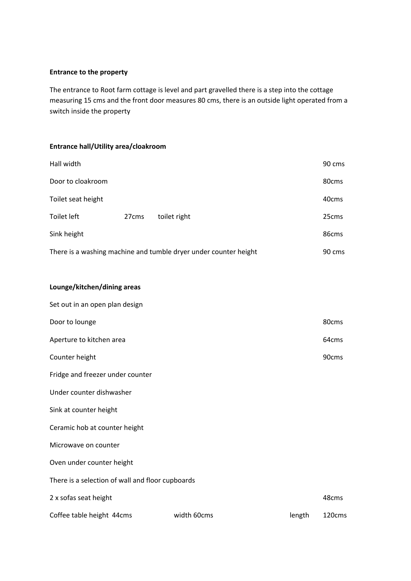#### **Entrance to the property**

The entrance to Root farm cottage is level and part gravelled there is a step into the cottage measuring 15 cms and the front door measures 80 cms, there is an outside light operated from a switch inside the property

# **Entrance hall/Utility area/cloakroom**

| Hall width         |                   |                                                                  | 90 cms            |
|--------------------|-------------------|------------------------------------------------------------------|-------------------|
| Door to cloakroom  |                   |                                                                  | 80cms             |
| Toilet seat height |                   |                                                                  | 40cms             |
| Toilet left        | 27 <sub>cms</sub> | toilet right                                                     | 25cms             |
| Sink height        |                   |                                                                  | 86 <sub>cms</sub> |
|                    |                   | There is a washing machine and tumble dryer under counter height | 90 cms            |

# **Lounge/kitchen/dining areas**

| Set out in an open plan design                   |             |        |        |
|--------------------------------------------------|-------------|--------|--------|
| Door to lounge                                   |             |        | 80cms  |
| Aperture to kitchen area                         |             |        | 64cms  |
| Counter height                                   |             |        | 90cms  |
| Fridge and freezer under counter                 |             |        |        |
| Under counter dishwasher                         |             |        |        |
| Sink at counter height                           |             |        |        |
| Ceramic hob at counter height                    |             |        |        |
| Microwave on counter                             |             |        |        |
| Oven under counter height                        |             |        |        |
| There is a selection of wall and floor cupboards |             |        |        |
| 2 x sofas seat height                            |             |        | 48cms  |
| Coffee table height 44cms                        | width 60cms | length | 120cms |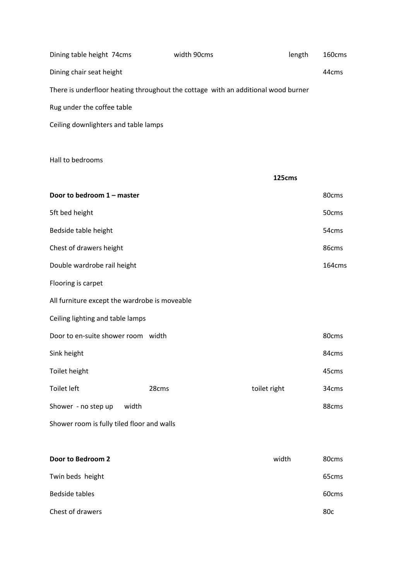| Dining table height 74cms                                                         | width 90cms | length | 160cms |
|-----------------------------------------------------------------------------------|-------------|--------|--------|
| Dining chair seat height                                                          |             |        | 44cms  |
| There is underfloor heating throughout the cottage with an additional wood burner |             |        |        |
| Rug under the coffee table                                                        |             |        |        |
| Ceiling downlighters and table lamps                                              |             |        |        |

Hall to bedrooms

|                                               |       | 125cms       |        |
|-----------------------------------------------|-------|--------------|--------|
| Door to bedroom 1 - master                    |       |              | 80cms  |
| 5ft bed height                                |       |              | 50cms  |
| Bedside table height                          |       |              | 54cms  |
| Chest of drawers height                       |       |              | 86cms  |
| Double wardrobe rail height                   |       |              | 164cms |
| Flooring is carpet                            |       |              |        |
| All furniture except the wardrobe is moveable |       |              |        |
| Ceiling lighting and table lamps              |       |              |        |
| Door to en-suite shower room width            |       |              | 80cms  |
| Sink height                                   |       |              | 84cms  |
| Toilet height                                 |       |              | 45cms  |
| Toilet left                                   | 28cms | toilet right | 34cms  |
| Shower - no step up<br>width                  |       |              | 88cms  |
| Shower room is fully tiled floor and walls    |       |              |        |

| Door to Bedroom 2 | width | 80cms             |
|-------------------|-------|-------------------|
| Twin beds height  |       | 65 <sub>cms</sub> |
| Bedside tables    |       | 60cms             |
| Chest of drawers  |       | 80 <sub>c</sub>   |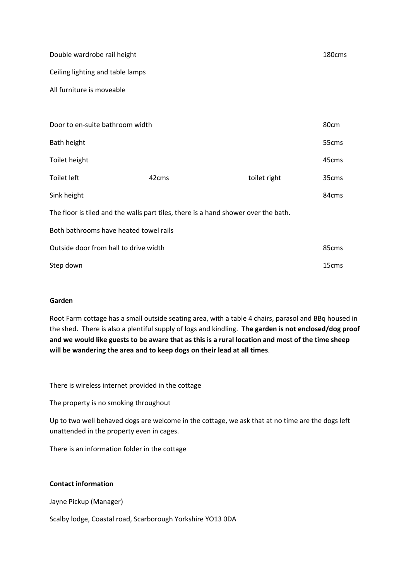| Double wardrobe rail height                                                        |       |              | 180cms |  |
|------------------------------------------------------------------------------------|-------|--------------|--------|--|
| Ceiling lighting and table lamps                                                   |       |              |        |  |
| All furniture is moveable                                                          |       |              |        |  |
|                                                                                    |       |              |        |  |
| Door to en-suite bathroom width                                                    |       |              | 80cm   |  |
| Bath height                                                                        |       |              | 55cms  |  |
| Toilet height                                                                      |       |              | 45cms  |  |
| Toilet left                                                                        | 42cms | toilet right | 35cms  |  |
| Sink height                                                                        |       |              | 84cms  |  |
| The floor is tiled and the walls part tiles, there is a hand shower over the bath. |       |              |        |  |
| Both bathrooms have heated towel rails                                             |       |              |        |  |
| Outside door from hall to drive width                                              |       |              | 85cms  |  |
| Step down                                                                          |       |              | 15cms  |  |

#### **Garden**

Root Farm cottage has a small outside seating area, with a table 4 chairs, parasol and BBq housed in the shed. There is also a plentiful supply of logs and kindling. **The garden is not enclosed/dog proof and we would like guests to be aware that as this is a rural location and most of the time sheep will be wandering the area and to keep dogs on their lead at all times**.

There is wireless internet provided in the cottage

The property is no smoking throughout

Up to two well behaved dogs are welcome in the cottage, we ask that at no time are the dogs left unattended in the property even in cages.

There is an information folder in the cottage

# **Contact information**

Jayne Pickup (Manager)

Scalby lodge, Coastal road, Scarborough Yorkshire YO13 0DA